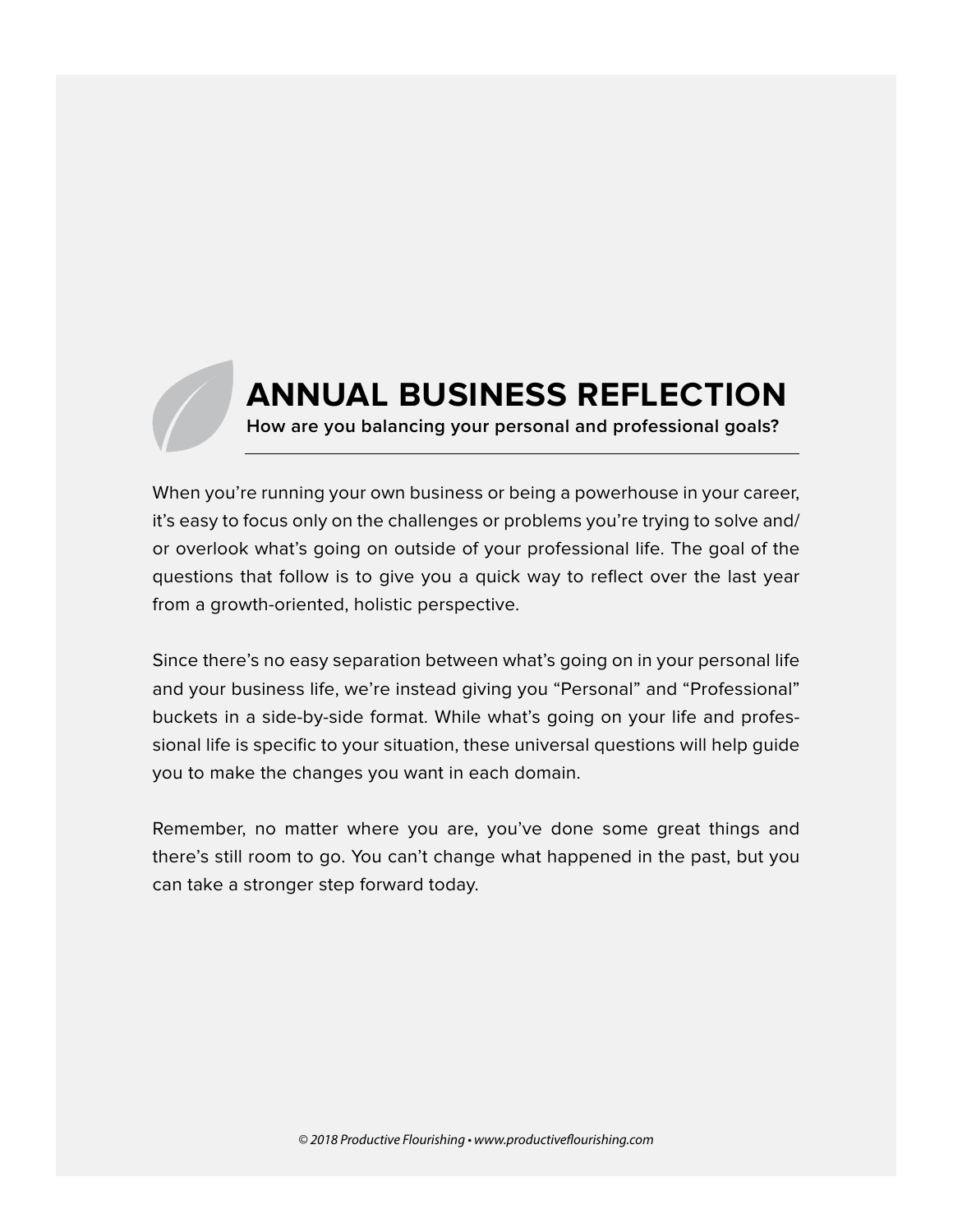## **ANNUAL BUSINESS REFLECTION**

**How are you balancing your personal and professional goals?**

When you're running your own business or being a powerhouse in your career, it's easy to focus only on the challenges or problems you're trying to solve and/ or overlook what's going on outside of your professional life. The goal of the questions that follow is to give you a quick way to reflect over the last year from a growth-oriented, holistic perspective.

Since there's no easy separation between what's going on in your personal life and your business life, we're instead giving you "Personal" and "Professional" buckets in a side-by-side format. While what's going on your life and professional life is specific to your situation, these universal questions will help guide you to make the changes you want in each domain.

Remember, no matter where you are, you've done some great things and there's still room to go. You can't change what happened in the past, but you can take a stronger step forward today.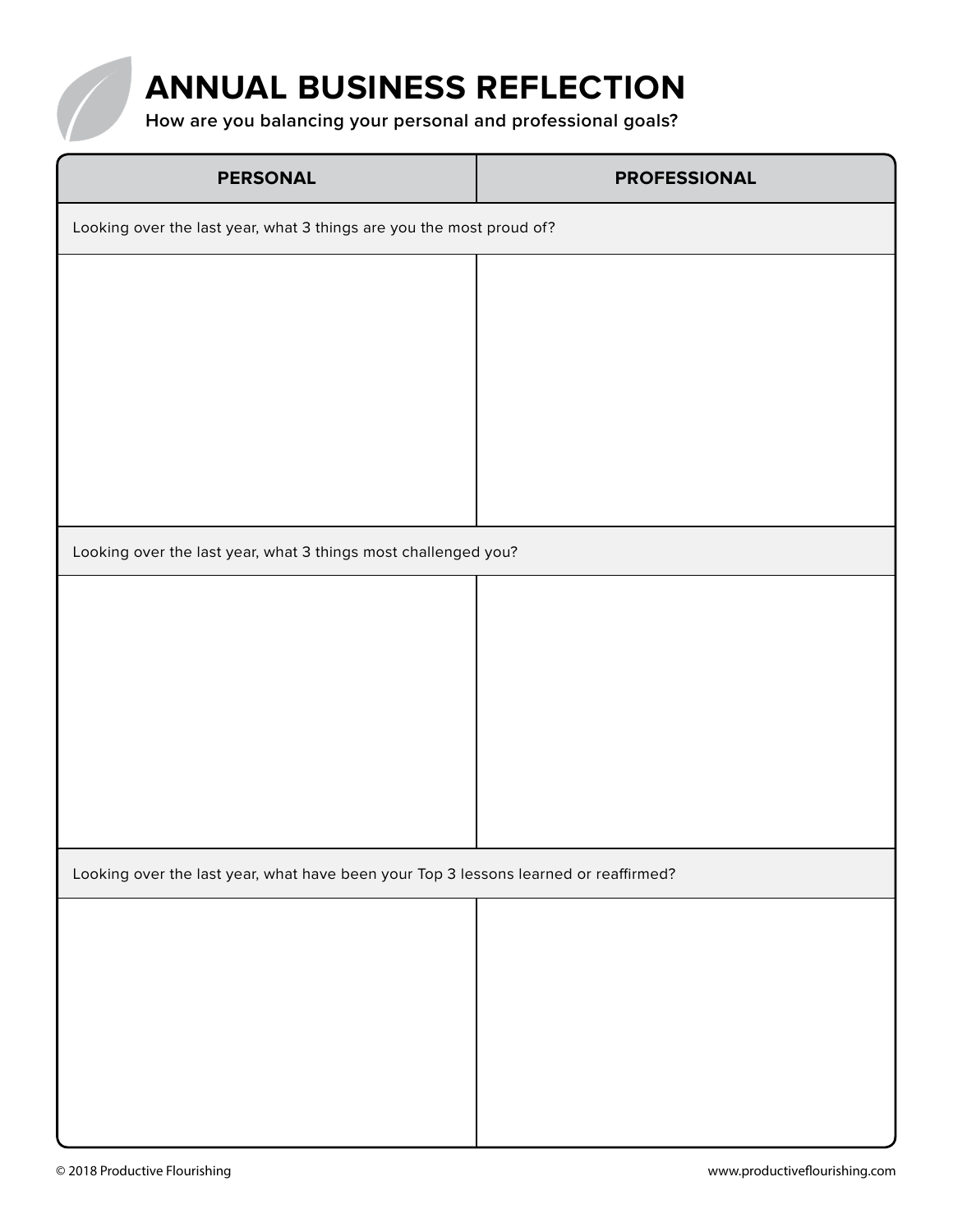

**How are you balancing your personal and professional goals?**

| <b>PERSONAL</b>                                                                      | <b>PROFESSIONAL</b> |
|--------------------------------------------------------------------------------------|---------------------|
| Looking over the last year, what 3 things are you the most proud of?                 |                     |
|                                                                                      |                     |
|                                                                                      |                     |
|                                                                                      |                     |
|                                                                                      |                     |
|                                                                                      |                     |
| Looking over the last year, what 3 things most challenged you?                       |                     |
|                                                                                      |                     |
|                                                                                      |                     |
|                                                                                      |                     |
|                                                                                      |                     |
|                                                                                      |                     |
|                                                                                      |                     |
|                                                                                      |                     |
| Looking over the last year, what have been your Top 3 lessons learned or reaffirmed? |                     |
|                                                                                      |                     |
|                                                                                      |                     |
|                                                                                      |                     |
|                                                                                      |                     |
|                                                                                      |                     |